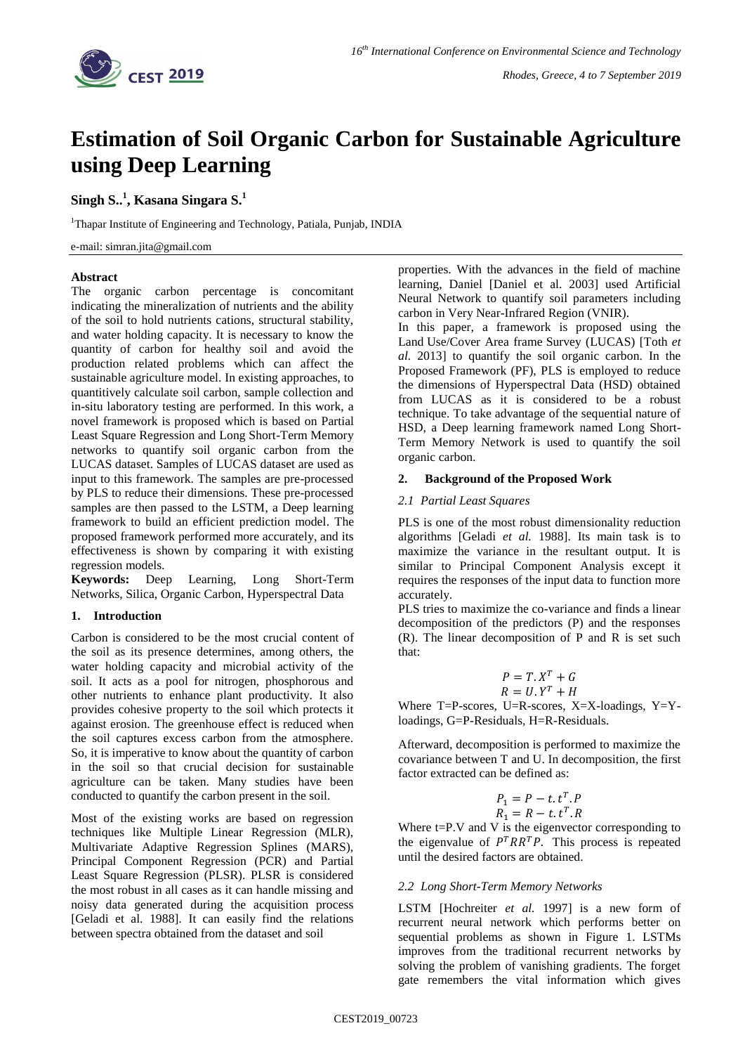

# **Estimation of Soil Organic Carbon for Sustainable Agriculture using Deep Learning**

## **Singh S.. 1 , Kasana Singara S. 1**

<sup>1</sup>Thapar Institute of Engineering and Technology, Patiala, Punjab, INDIA

e-mail: simran.jita@gmail.com

## **Abstract**

The organic carbon percentage is concomitant indicating the mineralization of nutrients and the ability of the soil to hold nutrients cations, structural stability, and water holding capacity. It is necessary to know the quantity of carbon for healthy soil and avoid the production related problems which can affect the sustainable agriculture model. In existing approaches, to quantitively calculate soil carbon, sample collection and in-situ laboratory testing are performed. In this work, a novel framework is proposed which is based on Partial Least Square Regression and Long Short-Term Memory networks to quantify soil organic carbon from the LUCAS dataset. Samples of LUCAS dataset are used as input to this framework. The samples are pre-processed by PLS to reduce their dimensions. These pre-processed samples are then passed to the LSTM, a Deep learning framework to build an efficient prediction model. The proposed framework performed more accurately, and its effectiveness is shown by comparing it with existing regression models.

**Keywords:** Deep Learning, Long Short-Term Networks, Silica, Organic Carbon, Hyperspectral Data

## **1. Introduction**

Carbon is considered to be the most crucial content of the soil as its presence determines, among others, the water holding capacity and microbial activity of the soil. It acts as a pool for nitrogen, phosphorous and other nutrients to enhance plant productivity. It also provides cohesive property to the soil which protects it against erosion. The greenhouse effect is reduced when the soil captures excess carbon from the atmosphere. So, it is imperative to know about the quantity of carbon in the soil so that crucial decision for sustainable agriculture can be taken. Many studies have been conducted to quantify the carbon present in the soil.

Most of the existing works are based on regression techniques like Multiple Linear Regression (MLR), Multivariate Adaptive Regression Splines (MARS), Principal Component Regression (PCR) and Partial Least Square Regression (PLSR). PLSR is considered the most robust in all cases as it can handle missing and noisy data generated during the acquisition process [Geladi et al. 1988]. It can easily find the relations between spectra obtained from the dataset and soil

properties. With the advances in the field of machine learning, Daniel [Daniel et al. 2003] used Artificial Neural Network to quantify soil parameters including carbon in Very Near-Infrared Region (VNIR).

In this paper, a framework is proposed using the Land Use/Cover Area frame Survey (LUCAS) [Toth *et al.* 2013] to quantify the soil organic carbon. In the Proposed Framework (PF), PLS is employed to reduce the dimensions of Hyperspectral Data (HSD) obtained from LUCAS as it is considered to be a robust technique. To take advantage of the sequential nature of HSD, a Deep learning framework named Long Short-Term Memory Network is used to quantify the soil organic carbon.

## **2. Background of the Proposed Work**

## *2.1 Partial Least Squares*

PLS is one of the most robust dimensionality reduction algorithms [Geladi *et al.* 1988]. Its main task is to maximize the variance in the resultant output. It is similar to Principal Component Analysis except it requires the responses of the input data to function more accurately.

PLS tries to maximize the co-variance and finds a linear decomposition of the predictors (P) and the responses (R). The linear decomposition of P and R is set such that:

$$
P = T \cdot X^T + G
$$
  
\n
$$
R = U \cdot Y^T + H
$$
  
\nWhere T=P-scores, U=R-scores, X=X-loadings, Y=Y-

loadings, G=P-Residuals, H=R-Residuals.

Afterward, decomposition is performed to maximize the covariance between T and U. In decomposition, the first factor extracted can be defined as:

$$
P_1 = P - t \cdot t^T \cdot P
$$
  

$$
R_1 = R - t \cdot t^T \cdot R
$$

Where t=P.V and V is the eigenvector corresponding to the eigenvalue of  $P^{T}RR^{T}P$ . This process is repeated until the desired factors are obtained.

## *2.2 Long Short-Term Memory Networks*

LSTM [Hochreiter *et al.* 1997] is a new form of recurrent neural network which performs better on sequential problems as shown in Figure 1. LSTMs improves from the traditional recurrent networks by solving the problem of vanishing gradients. The forget gate remembers the vital information which gives